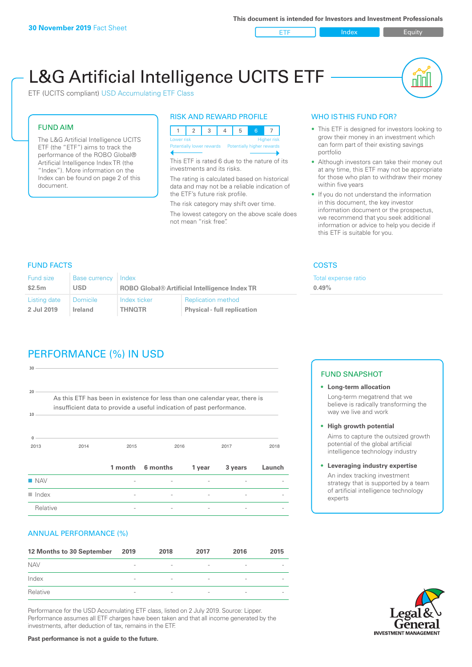ETF Index Requity

nl M

# L&G Artificial Intelligence UCITS ETF

ETF (UCITS compliant) USD Accumulating ETF Class

#### FUND AIM

The L&G Artificial Intelligence UCITS ETF (the "ETF") aims to track the performance of the ROBO Global® Artificial Intelligence Index TR (the "Index"). More information on the Index can be found on page 2 of this document.

#### RISK AND REWARD PROFILE



This ETF is rated 6 due to the nature of its investments and its risks.

The rating is calculated based on historical data and may not be a reliable indication of the ETF's future risk profile.

The risk category may shift over time. The lowest category on the above scale does not mean "risk free".

#### WHO IS THIS FUND FOR?

- This ETF is designed for investors looking to grow their money in an investment which can form part of their existing savings portfolio
- Although investors can take their money out at any time, this ETF may not be appropriate for those who plan to withdraw their money within five years
- If you do not understand the information in this document, the key investor information document or the prospectus, we recommend that you seek additional information or advice to help you decide if this ETF is suitable for you.

**0.49%**

Total expense ratio

FUND FACTS COSTS

| Fund size    | <b>Base currency</b> | Index                                                |                                    |  |
|--------------|----------------------|------------------------------------------------------|------------------------------------|--|
| \$2.5m       | <b>USD</b>           | <b>ROBO Global® Artificial Intelligence Index TR</b> |                                    |  |
| Listing date | <b>Domicile</b>      | Index ticker                                         | <b>Replication method</b>          |  |
| 2 Jul 2019   | Ireland              | <b>THNOTR</b>                                        | <b>Physical - full replication</b> |  |

# PERFORMANCE (%) IN USD

| 30                                                                                                                                                               |      |                          |          |        |         |        |  |
|------------------------------------------------------------------------------------------------------------------------------------------------------------------|------|--------------------------|----------|--------|---------|--------|--|
| 20<br>As this ETF has been in existence for less than one calendar year, there is<br>insufficient data to provide a useful indication of past performance.<br>10 |      |                          |          |        |         |        |  |
| $\mathbf{0}$<br>2013                                                                                                                                             | 2014 | 2015                     |          | 2016   |         | 2018   |  |
|                                                                                                                                                                  |      | 1 month                  | 6 months | 1 year | 3 years | Launch |  |
| <b>NAV</b>                                                                                                                                                       |      |                          |          |        |         |        |  |
| $\blacksquare$ Index                                                                                                                                             |      | $\overline{\phantom{0}}$ |          |        |         |        |  |
| Relative                                                                                                                                                         |      |                          |          |        |         |        |  |

#### ANNUAL PERFORMANCE (%)

| 12 Months to 30 September | 2019                     | 2018                     | 2017                     | 2016                     | 2015                     |
|---------------------------|--------------------------|--------------------------|--------------------------|--------------------------|--------------------------|
| <b>NAV</b>                | $\overline{\phantom{a}}$ | $\overline{\phantom{a}}$ | $\overline{\phantom{a}}$ | $\overline{\phantom{a}}$ | $\overline{\phantom{0}}$ |
| Index                     | $\overline{\phantom{0}}$ | $\overline{\phantom{a}}$ | $\qquad \qquad$          | $\overline{\phantom{a}}$ | $\overline{\phantom{a}}$ |
| Relative                  | $\sim$                   | $\overline{\phantom{a}}$ | $\overline{\phantom{a}}$ | $\sim$                   | $\overline{\phantom{a}}$ |

Performance for the USD Accumulating ETF class, listed on 2 July 2019. Source: Lipper. Performance assumes all ETF charges have been taken and that all income generated by the investments, after deduction of tax, remains in the ETF.

#### FUND SNAPSHOT

- **• Long-term allocation** Long-term megatrend that we believe is radically transforming the way we live and work
- **• High growth potential** Aims to capture the outsized growth potential of the global artificial intelligence technology industry
- **• Leveraging industry expertise** An index tracking investment strategy that is supported by a team of artificial intelligence technology experts



**Past performance is not a guide to the future.**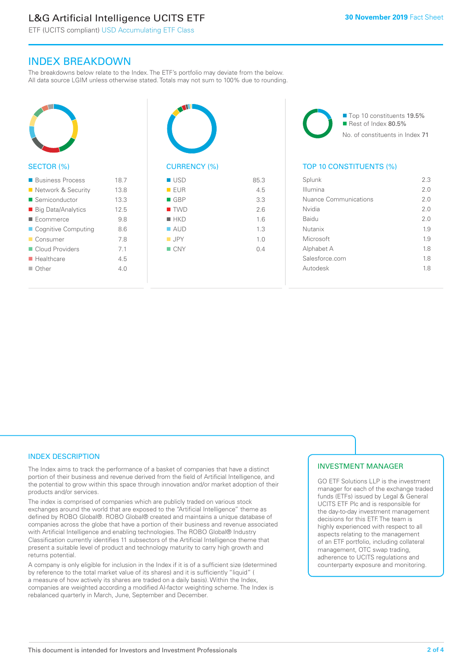# L&G Artificial Intelligence UCITS ETF

ETF (UCITS compliant) USD Accumulating ETF Class

### INDEX BREAKDOWN

The breakdowns below relate to the Index. The ETF's portfolio may deviate from the below. All data source LGIM unless otherwise stated. Totals may not sum to 100% due to rounding.



#### SECTOR (%)

| ■ Business Process        | 18.7 |
|---------------------------|------|
| ■ Network & Security      | 13.8 |
| ■ Semiconductor           | 13.3 |
| ■ Big Data/Analytics      | 12.5 |
| ■ Ecommerce               | 9.8  |
| ■ Cognitive Computing     | 8.6  |
| ■ Consumer                | 78   |
| Cloud Providers           | 71   |
| $\blacksquare$ Healthcare | 4.5  |
| $\Box$ Other              | 40   |
|                           |      |



| - טטר              | ∪.∪ |
|--------------------|-----|
| EUR                | 4.5 |
| $\blacksquare$ GBP | 3.3 |
| $\blacksquare$ TWD | 2.6 |
| $H$ HKD            | 1.6 |
| $\blacksquare$ AUD | 1.3 |
| $\blacksquare$ JPY | 1.0 |
| $\blacksquare$ CNY | 0.4 |
|                    |     |
|                    |     |

■ Top 10 constituents 19.5% Rest of Index 80.5% No. of constituents in Index 71

#### TOP 10 CONSTITUENTS (%)

| Splunk                | 2.3 |
|-----------------------|-----|
| Illumina              | 20  |
| Nuance Communications | 2 O |
| Nvidia                | 20  |
| Baidu                 | 20  |
| Nutanix               | 1.9 |
| Microsoft             | 1.9 |
| Alphabet A            | 18  |
| Salesforce.com        | 18  |
| Autodesk              | 18  |
|                       |     |

#### INDEX DESCRIPTION

The Index aims to track the performance of a basket of companies that have a distinct portion of their business and revenue derived from the field of Artificial Intelligence, and the potential to grow within this space through innovation and/or market adoption of their products and/or services.

The index is comprised of companies which are publicly traded on various stock exchanges around the world that are exposed to the "Artificial Intelligence" theme as defined by ROBO Global®. ROBO Global® created and maintains a unique database of companies across the globe that have a portion of their business and revenue associated with Artificial Intelligence and enabling technologies. The ROBO Global® Industry Classification currently identifies 11 subsectors of the Artificial Intelligence theme that present a suitable level of product and technology maturity to carry high growth and returns potential.

A company is only eligible for inclusion in the Index if it is of a sufficient size (determined by reference to the total market value of its shares) and it is sufficiently "liquid" ( a measure of how actively its shares are traded on a daily basis). Within the Index, companies are weighted according a modified AI-factor weighting scheme. The Index is rebalanced quarterly in March, June, September and December.

#### INVESTMENT MANAGER

GO ETF Solutions LLP is the investment manager for each of the exchange traded funds (ETFs) issued by Legal & General UCITS ETF Plc and is responsible for the day-to-day investment management decisions for this ETF. The team is highly experienced with respect to all aspects relating to the management of an ETF portfolio, including collateral management, OTC swap trading, adherence to UCITS regulations and counterparty exposure and monitoring.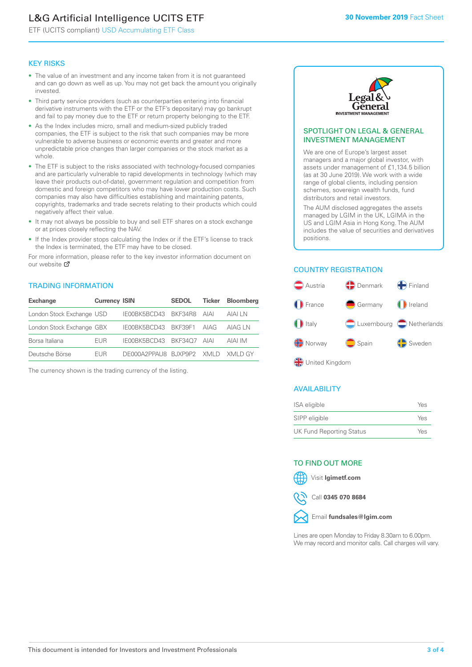# L&G Artificial Intelligence UCITS ETF

ETF (UCITS compliant) USD Accumulating ETF Class

#### KEY RISKS

- The value of an investment and any income taken from it is not guaranteed and can go down as well as up. You may not get back the amount you originally invested.
- Third party service providers (such as counterparties entering into financial derivative instruments with the ETF or the ETF's depositary) may go bankrupt and fail to pay money due to the ETF or return property belonging to the ETF.
- As the Index includes micro, small and medium-sized publicly traded companies, the ETF is subject to the risk that such companies may be more vulnerable to adverse business or economic events and greater and more unpredictable price changes than larger companies or the stock market as a whole.
- The ETF is subject to the risks associated with technology-focused companies and are particularly vulnerable to rapid developments in technology (which may leave their products out-of-date), government regulation and competition from domestic and foreign competitors who may have lower production costs. Such companies may also have difficulties establishing and maintaining patents, copyrights, trademarks and trade secrets relating to their products which could negatively affect their value.
- It may not always be possible to buy and sell ETF shares on a stock exchange or at prices closely reflecting the NAV.
- If the Index provider stops calculating the Index or if the ETF's license to track the Index is terminated, the ETF may have to be closed.

For more information, please refer to the key investor information document on our website Ø

#### TRADING INFORMATION

| <b>Exchange</b>           | <b>Currency ISIN</b> |                                   | <b>SEDOL</b> | Ticker | <b>Bloomberg</b> |
|---------------------------|----------------------|-----------------------------------|--------------|--------|------------------|
| London Stock Exchange USD |                      | IE00BK5BCD43 BKF34R8 AIAI         |              |        | AIAI LN          |
| London Stock Exchange GBX |                      | IE00BK5BCD43 BKF39F1 AIAG         |              |        | AIAG I N         |
| Borsa Italiana            | <b>FUR</b>           | IE00BK5BCD43 BKF34O7 AIAI         |              |        | AIAI IM          |
| Deutsche Börse            | <b>FUR</b>           | DE000A2PPAU8 BUXP9P2 XMLD XMLD GY |              |        |                  |

The currency shown is the trading currency of the listing.



#### SPOTLIGHT ON LEGAL & GENERAL INVESTMENT MANAGEMENT

We are one of Europe's largest asset managers and a major global investor, with assets under management of £1,134.5 billion (as at 30 June 2019). We work with a wide range of global clients, including pension schemes, sovereign wealth funds, fund distributors and retail investors.

The AUM disclosed aggregates the assets managed by LGIM in the UK, LGIMA in the US and LGIM Asia in Hong Kong. The AUM includes the value of securities and derivatives positions.

#### COUNTRY REGISTRATION



#### AVAILABILITY

| ISA eligible                    | Yes |
|---------------------------------|-----|
| SIPP eligible                   | Yes |
| <b>UK Fund Reporting Status</b> | Yes |

#### TO FIND OUT MORE

Visit **lgimetf.com**



Call **0345 070 8684**



Lines are open Monday to Friday 8.30am to 6.00pm. We may record and monitor calls. Call charges will vary.